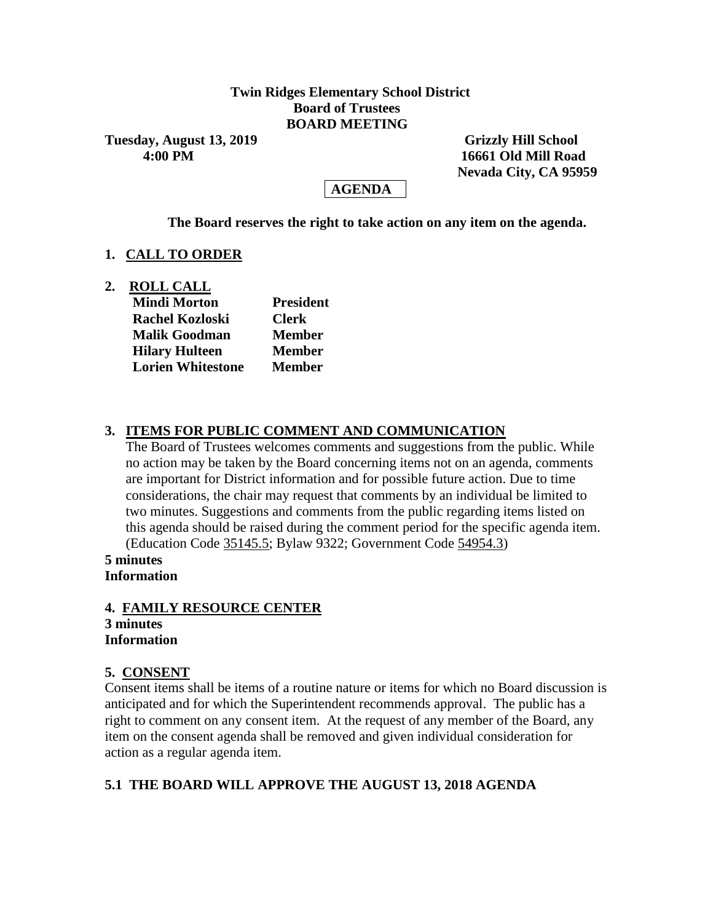## **Twin Ridges Elementary School District Board of Trustees BOARD MEETING**

**Tuesday, August 13, 2019 Grizzly Hill School** 

 **4:00 PM 16661 Old Mill Road Nevada City, CA 95959**

# **AGENDA**

**The Board reserves the right to take action on any item on the agenda.**

## **1. CALL TO ORDER**

**2. ROLL CALL**

| <b>Mindi Morton</b>      | <b>President</b> |  |  |  |
|--------------------------|------------------|--|--|--|
| <b>Rachel Kozloski</b>   | <b>Clerk</b>     |  |  |  |
| <b>Malik Goodman</b>     | <b>Member</b>    |  |  |  |
| <b>Hilary Hulteen</b>    | <b>Member</b>    |  |  |  |
| <b>Lorien Whitestone</b> | <b>Member</b>    |  |  |  |

# **3. ITEMS FOR PUBLIC COMMENT AND COMMUNICATION**

The Board of Trustees welcomes comments and suggestions from the public. While no action may be taken by the Board concerning items not on an agenda, comments are important for District information and for possible future action. Due to time considerations, the chair may request that comments by an individual be limited to two minutes. Suggestions and comments from the public regarding items listed on this agenda should be raised during the comment period for the specific agenda item. (Education Code 35145.5; Bylaw 9322; Government Code 54954.3)

**5 minutes Information**

# **4. FAMILY RESOURCE CENTER**

#### **3 minutes Information**

# **5. CONSENT**

Consent items shall be items of a routine nature or items for which no Board discussion is anticipated and for which the Superintendent recommends approval. The public has a right to comment on any consent item. At the request of any member of the Board, any item on the consent agenda shall be removed and given individual consideration for action as a regular agenda item.

# **5.1 THE BOARD WILL APPROVE THE AUGUST 13, 2018 AGENDA**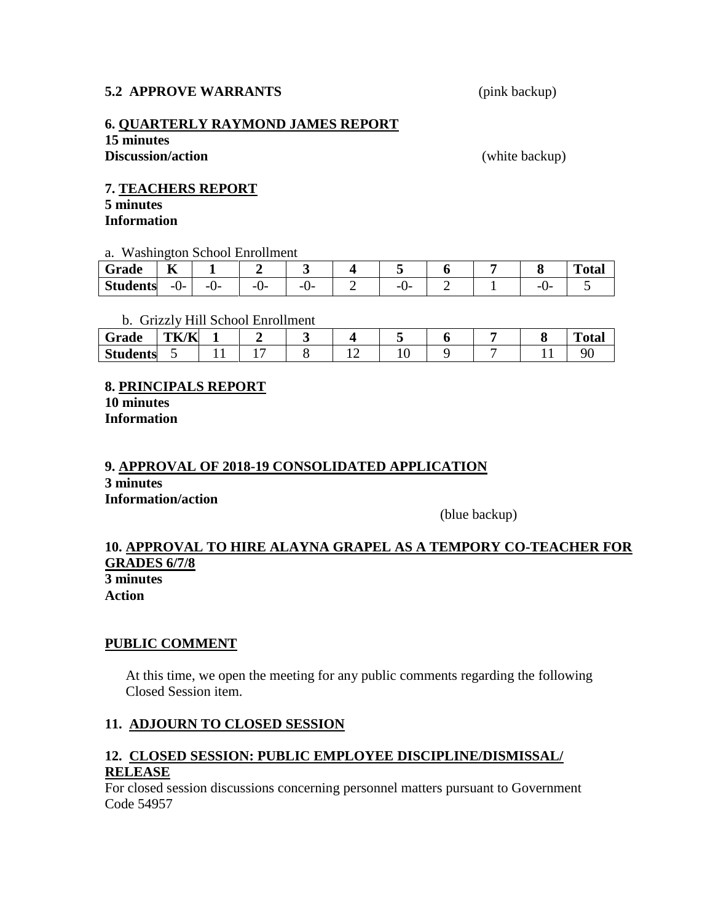### **5.2 APPROVE WARRANTS** (pink backup)

### **6. QUARTERLY RAYMOND JAMES REPORT**

**15 minutes Discussion/action** (white backup)

#### **7. TEACHERS REPORT**

**5 minutes Information**

a. Washington School Enrollment

| ~<br>Grade      | $-$<br>1Y    |           |           |                |           |  | $T_{\rm{rad}}$<br>''otar |
|-----------------|--------------|-----------|-----------|----------------|-----------|--|--------------------------|
| <b>Students</b> | --<br>.<br>v | --<br>. . | --<br>. . | --<br>. .<br>╰ | --<br>. . |  |                          |

b. Grizzly Hill School Enrollment

| Grade           | $TLZ$ $TLZ$<br>'N<br>r |  |  |    |  | $\mathbf{r}$<br>'otal |
|-----------------|------------------------|--|--|----|--|-----------------------|
| <b>Students</b> | ັ                      |  |  | *∿ |  |                       |

**8. PRINCIPALS REPORT 10 minutes Information**

## **9. APPROVAL OF 2018-19 CONSOLIDATED APPLICATION 3 minutes Information/action**

(blue backup)

### **10. APPROVAL TO HIRE ALAYNA GRAPEL AS A TEMPORY CO-TEACHER FOR GRADES 6/7/8 3 minutes Action**

**PUBLIC COMMENT**

At this time, we open the meeting for any public comments regarding the following Closed Session item.

## **11. ADJOURN TO CLOSED SESSION**

# **12. CLOSED SESSION: PUBLIC EMPLOYEE DISCIPLINE/DISMISSAL/ RELEASE**

For closed session discussions concerning personnel matters pursuant to Government Code 54957